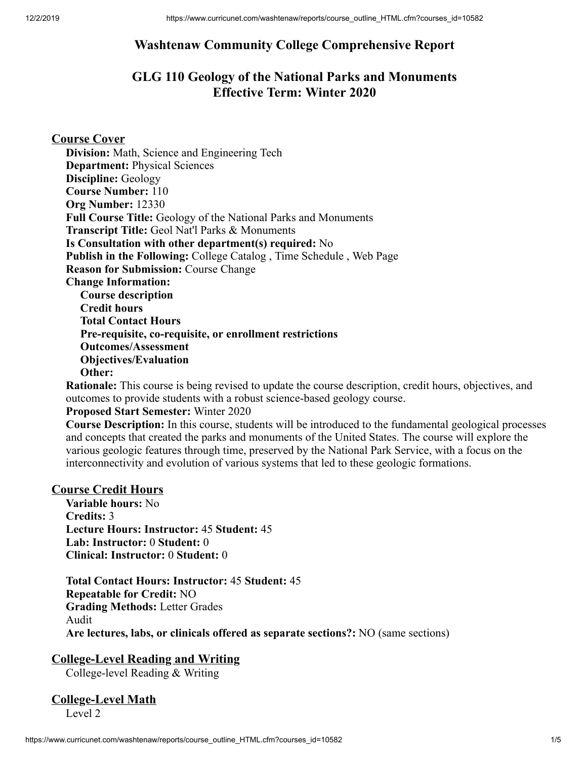## **Washtenaw Community College Comprehensive Report**

## **GLG 110 Geology of the National Parks and Monuments Effective Term: Winter 2020**

### **Course Cover**

**Division:** Math, Science and Engineering Tech **Department:** Physical Sciences **Discipline:** Geology **Course Number:** 110 **Org Number:** 12330 **Full Course Title:** Geology of the National Parks and Monuments **Transcript Title:** Geol Nat'l Parks & Monuments **Is Consultation with other department(s) required:** No **Publish in the Following:** College Catalog , Time Schedule , Web Page **Reason for Submission:** Course Change **Change Information: Course description Credit hours Total Contact Hours Pre-requisite, co-requisite, or enrollment restrictions Outcomes/Assessment Objectives/Evaluation Other:**

**Rationale:** This course is being revised to update the course description, credit hours, objectives, and outcomes to provide students with a robust science-based geology course.

#### **Proposed Start Semester:** Winter 2020

**Course Description:** In this course, students will be introduced to the fundamental geological processes and concepts that created the parks and monuments of the United States. The course will explore the various geologic features through time, preserved by the National Park Service, with a focus on the interconnectivity and evolution of various systems that led to these geologic formations.

#### **Course Credit Hours**

**Variable hours:** No **Credits:** 3 **Lecture Hours: Instructor:** 45 **Student:** 45 **Lab: Instructor:** 0 **Student:** 0 **Clinical: Instructor:** 0 **Student:** 0

**Total Contact Hours: Instructor:** 45 **Student:** 45 **Repeatable for Credit:** NO **Grading Methods:** Letter Grades Audit **Are lectures, labs, or clinicals offered as separate sections?:** NO (same sections)

#### **College-Level Reading and Writing**

College-level Reading & Writing

# **College-Level Math**

Level 2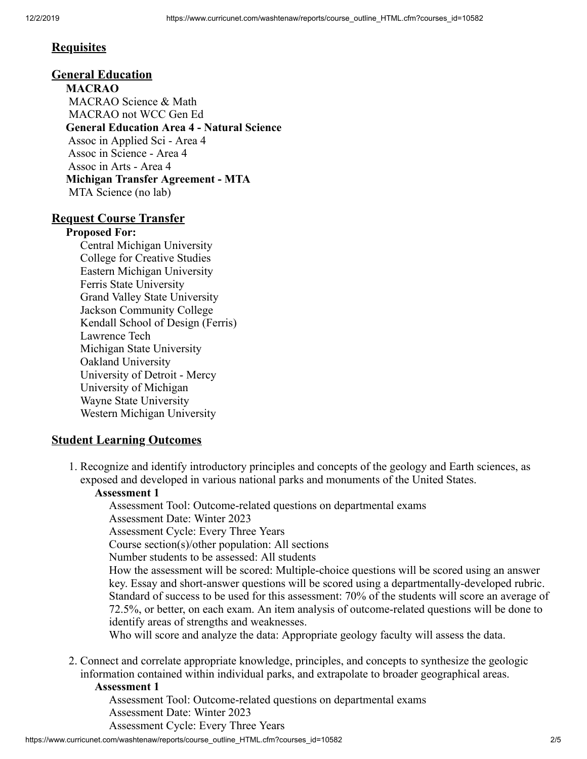## **Requisites**

### **General Education**

**MACRAO** MACRAO Science & Math MACRAO not WCC Gen Ed **General Education Area 4 - Natural Science** Assoc in Applied Sci - Area 4 Assoc in Science - Area 4 Assoc in Arts - Area 4 **Michigan Transfer Agreement - MTA** MTA Science (no lab)

### **Request Course Transfer**

#### **Proposed For:**

Central Michigan University College for Creative Studies Eastern Michigan University Ferris State University Grand Valley State University Jackson Community College Kendall School of Design (Ferris) Lawrence Tech Michigan State University Oakland University University of Detroit - Mercy University of Michigan Wayne State University Western Michigan University

## **Student Learning Outcomes**

1. Recognize and identify introductory principles and concepts of the geology and Earth sciences, as exposed and developed in various national parks and monuments of the United States.

## **Assessment 1**

Assessment Tool: Outcome-related questions on departmental exams Assessment Date: Winter 2023 Assessment Cycle: Every Three Years

Course section(s)/other population: All sections

Number students to be assessed: All students

How the assessment will be scored: Multiple-choice questions will be scored using an answer key. Essay and short-answer questions will be scored using a departmentally-developed rubric. Standard of success to be used for this assessment: 70% of the students will score an average of 72.5%, or better, on each exam. An item analysis of outcome-related questions will be done to identify areas of strengths and weaknesses.

Who will score and analyze the data: Appropriate geology faculty will assess the data.

2. Connect and correlate appropriate knowledge, principles, and concepts to synthesize the geologic information contained within individual parks, and extrapolate to broader geographical areas.

#### **Assessment 1**

Assessment Tool: Outcome-related questions on departmental exams Assessment Date: Winter 2023 Assessment Cycle: Every Three Years

https://www.curricunet.com/washtenaw/reports/course\_outline\_HTML.cfm?courses\_id=10582 2/5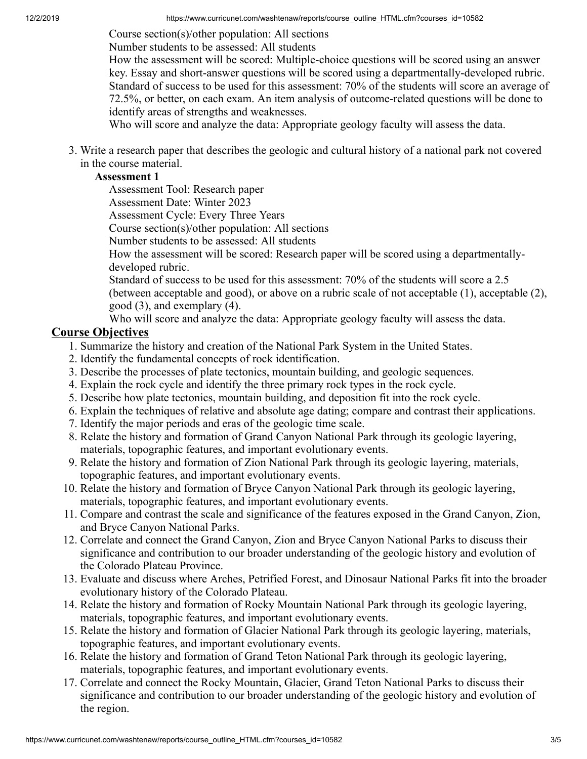Course section(s)/other population: All sections

Number students to be assessed: All students

How the assessment will be scored: Multiple-choice questions will be scored using an answer key. Essay and short-answer questions will be scored using a departmentally-developed rubric. Standard of success to be used for this assessment: 70% of the students will score an average of 72.5%, or better, on each exam. An item analysis of outcome-related questions will be done to identify areas of strengths and weaknesses.

Who will score and analyze the data: Appropriate geology faculty will assess the data.

3. Write a research paper that describes the geologic and cultural history of a national park not covered in the course material.

#### **Assessment 1**

Assessment Tool: Research paper

Assessment Date: Winter 2023

Assessment Cycle: Every Three Years

Course section(s)/other population: All sections

Number students to be assessed: All students

How the assessment will be scored: Research paper will be scored using a departmentallydeveloped rubric.

Standard of success to be used for this assessment: 70% of the students will score a 2.5 (between acceptable and good), or above on a rubric scale of not acceptable (1), acceptable (2), good (3), and exemplary (4).

Who will score and analyze the data: Appropriate geology faculty will assess the data.

### **Course Objectives**

- 1. Summarize the history and creation of the National Park System in the United States.
- 2. Identify the fundamental concepts of rock identification.
- 3. Describe the processes of plate tectonics, mountain building, and geologic sequences.
- 4. Explain the rock cycle and identify the three primary rock types in the rock cycle.
- 5. Describe how plate tectonics, mountain building, and deposition fit into the rock cycle.
- 6. Explain the techniques of relative and absolute age dating; compare and contrast their applications.
- 7. Identify the major periods and eras of the geologic time scale.
- 8. Relate the history and formation of Grand Canyon National Park through its geologic layering, materials, topographic features, and important evolutionary events.
- 9. Relate the history and formation of Zion National Park through its geologic layering, materials, topographic features, and important evolutionary events.
- 10. Relate the history and formation of Bryce Canyon National Park through its geologic layering, materials, topographic features, and important evolutionary events.
- 11. Compare and contrast the scale and significance of the features exposed in the Grand Canyon, Zion, and Bryce Canyon National Parks.
- 12. Correlate and connect the Grand Canyon, Zion and Bryce Canyon National Parks to discuss their significance and contribution to our broader understanding of the geologic history and evolution of the Colorado Plateau Province.
- 13. Evaluate and discuss where Arches, Petrified Forest, and Dinosaur National Parks fit into the broader evolutionary history of the Colorado Plateau.
- 14. Relate the history and formation of Rocky Mountain National Park through its geologic layering, materials, topographic features, and important evolutionary events.
- 15. Relate the history and formation of Glacier National Park through its geologic layering, materials, topographic features, and important evolutionary events.
- 16. Relate the history and formation of Grand Teton National Park through its geologic layering, materials, topographic features, and important evolutionary events.
- 17. Correlate and connect the Rocky Mountain, Glacier, Grand Teton National Parks to discuss their significance and contribution to our broader understanding of the geologic history and evolution of the region.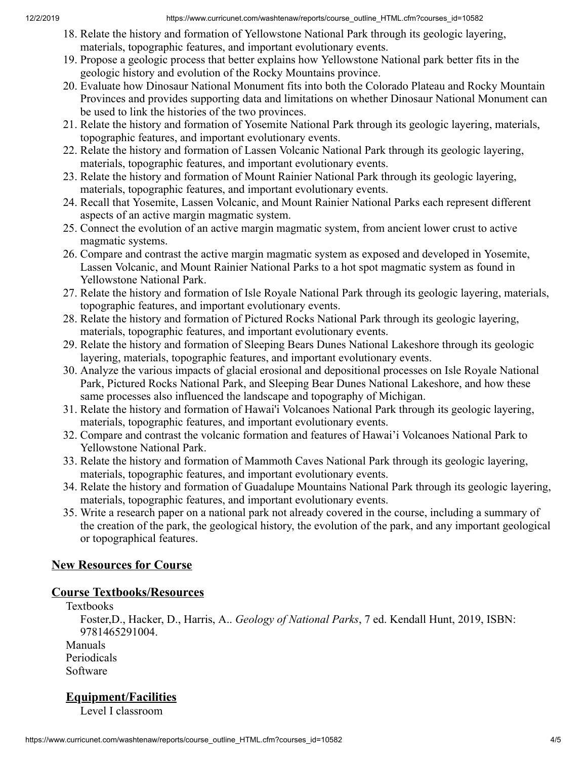- 18. Relate the history and formation of Yellowstone National Park through its geologic layering, materials, topographic features, and important evolutionary events.
- 19. Propose a geologic process that better explains how Yellowstone National park better fits in the geologic history and evolution of the Rocky Mountains province.
- 20. Evaluate how Dinosaur National Monument fits into both the Colorado Plateau and Rocky Mountain Provinces and provides supporting data and limitations on whether Dinosaur National Monument can be used to link the histories of the two provinces.
- 21. Relate the history and formation of Yosemite National Park through its geologic layering, materials, topographic features, and important evolutionary events.
- 22. Relate the history and formation of Lassen Volcanic National Park through its geologic layering, materials, topographic features, and important evolutionary events.
- 23. Relate the history and formation of Mount Rainier National Park through its geologic layering, materials, topographic features, and important evolutionary events.
- 24. Recall that Yosemite, Lassen Volcanic, and Mount Rainier National Parks each represent different aspects of an active margin magmatic system.
- 25. Connect the evolution of an active margin magmatic system, from ancient lower crust to active magmatic systems.
- 26. Compare and contrast the active margin magmatic system as exposed and developed in Yosemite, Lassen Volcanic, and Mount Rainier National Parks to a hot spot magmatic system as found in Yellowstone National Park.
- 27. Relate the history and formation of Isle Royale National Park through its geologic layering, materials, topographic features, and important evolutionary events.
- 28. Relate the history and formation of Pictured Rocks National Park through its geologic layering, materials, topographic features, and important evolutionary events.
- 29. Relate the history and formation of Sleeping Bears Dunes National Lakeshore through its geologic layering, materials, topographic features, and important evolutionary events.
- 30. Analyze the various impacts of glacial erosional and depositional processes on Isle Royale National Park, Pictured Rocks National Park, and Sleeping Bear Dunes National Lakeshore, and how these same processes also influenced the landscape and topography of Michigan.
- 31. Relate the history and formation of Hawai'i Volcanoes National Park through its geologic layering, materials, topographic features, and important evolutionary events.
- 32. Compare and contrast the volcanic formation and features of Hawai'i Volcanoes National Park to Yellowstone National Park.
- 33. Relate the history and formation of Mammoth Caves National Park through its geologic layering, materials, topographic features, and important evolutionary events.
- 34. Relate the history and formation of Guadalupe Mountains National Park through its geologic layering, materials, topographic features, and important evolutionary events.
- 35. Write a research paper on a national park not already covered in the course, including a summary of the creation of the park, the geological history, the evolution of the park, and any important geological or topographical features.

## **New Resources for Course**

## **Course Textbooks/Resources**

Textbooks

Foster,D., Hacker, D., Harris, A.. *Geology of National Parks*, 7 ed. Kendall Hunt, 2019, ISBN: 9781465291004.

Manuals Periodicals Software

# **Equipment/Facilities**

Level I classroom